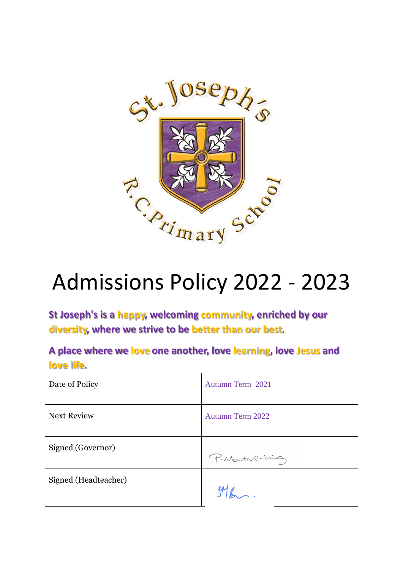

# Admissions Policy 2022 - 2023

**St Joseph's is a happy, welcoming community, enriched by our diversity, where we strive to be better than our best.**

**A place where we love one another, love learning, love Jesus and love life.**

| Date of Policy       | Autumn Term 2021        |
|----------------------|-------------------------|
| <b>Next Review</b>   | <b>Autumn Term 2022</b> |
| Signed (Governor)    | P. Martin-King.         |
| Signed (Headteacher) |                         |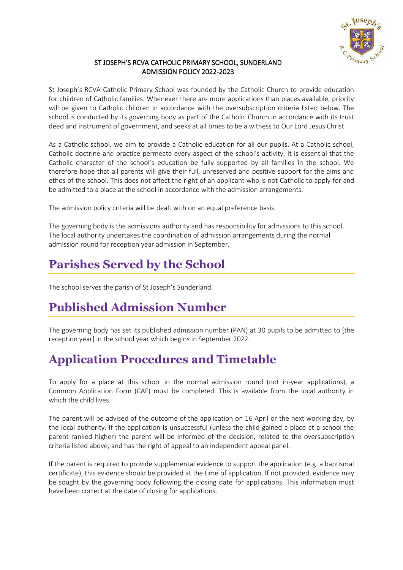

#### ST JOSEPH'S RCVA CATHOLIC PRIMARY SCHOOL, SUNDERLAND ADMISSION POLICY 2022-2023

St Joseph's RCVA Catholic Primary School was founded by the Catholic Church to provide education for children of Catholic families. Whenever there are more applications than places available, priority will be given to Catholic children in accordance with the oversubscription criteria listed below. The school is conducted by its governing body as part of the Catholic Church in accordance with its trust deed and instrument of government, and seeks at all times to be a witness to Our Lord Jesus Christ.

As a Catholic school, we aim to provide a Catholic education for all our pupils. At a Catholic school, Catholic doctrine and practice permeate every aspect of the school's activity. It is essential that the Catholic character of the school's education be fully supported by all families in the school. We therefore hope that all parents will give their full, unreserved and positive support for the aims and ethos of the school. This does not affect the right of an applicant who is not Catholic to apply for and be admitted to a place at the school in accordance with the admission arrangements.

The admission policy criteria will be dealt with on an equal preference basis.

The governing body is the admissions authority and has responsibility for admissions to this school. The local authority undertakes the coordination of admission arrangements during the normal admission round for reception year admission in September.

# **Parishes Served by the School**

The school serves the parish of St Joseph's Sunderland.

## **Published Admission Number**

The governing body has set its published admission number (PAN) at 30 pupils to be admitted to [the reception year] in the school year which begins in September 2022.

## **Application Procedures and Timetable**

To apply for a place at this school in the normal admission round (not in-year applications), a Common Application Form (CAF) must be completed. This is available from the local authority in which the child lives.

The parent will be advised of the outcome of the application on 16 April or the next working day, by the local authority. If the application is unsuccessful (unless the child gained a place at a school the parent ranked higher) the parent will be informed of the decision, related to the oversubscription criteria listed above, and has the right of appeal to an independent appeal panel.

If the parent is required to provide supplemental evidence to support the application (e.g. a baptismal certificate), this evidence should be provided at the time of application. If not provided, evidence may be sought by the governing body following the closing date for applications. This information must have been correct at the date of closing for applications.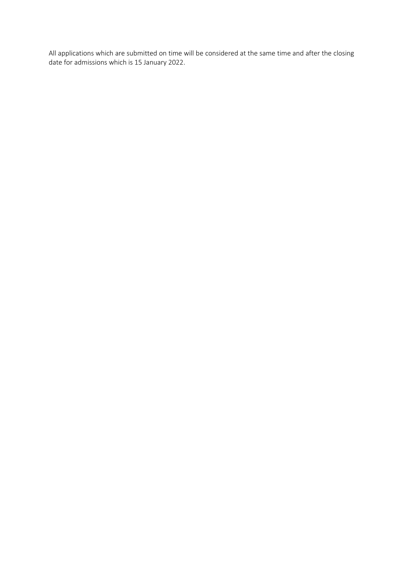All applications which are submitted on time will be considered at the same time and after the closing date for admissions which is 15 January 2022.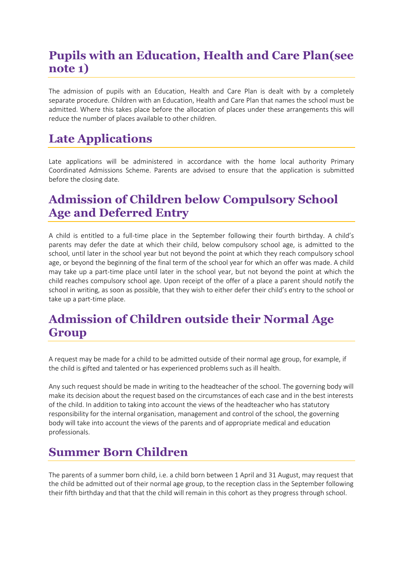## **Pupils with an Education, Health and Care Plan(see note 1)**

The admission of pupils with an Education, Health and Care Plan is dealt with by a completely separate procedure. Children with an Education, Health and Care Plan that names the school must be admitted. Where this takes place before the allocation of places under these arrangements this will reduce the number of places available to other children.

# **Late Applications**

Late applications will be administered in accordance with the home local authority Primary Coordinated Admissions Scheme. Parents are advised to ensure that the application is submitted before the closing date.

## **Admission of Children below Compulsory School Age and Deferred Entry**

A child is entitled to a full-time place in the September following their fourth birthday. A child's parents may defer the date at which their child, below compulsory school age, is admitted to the school, until later in the school year but not beyond the point at which they reach compulsory school age, or beyond the beginning of the final term of the school year for which an offer was made. A child may take up a part-time place until later in the school year, but not beyond the point at which the child reaches compulsory school age. Upon receipt of the offer of a place a parent should notify the school in writing, as soon as possible, that they wish to either defer their child's entry to the school or take up a part-time place.

#### **Admission of Children outside their Normal Age Group**

A request may be made for a child to be admitted outside of their normal age group, for example, if the child is gifted and talented or has experienced problems such as ill health.

Any such request should be made in writing to the headteacher of the school. The governing body will make its decision about the request based on the circumstances of each case and in the best interests of the child. In addition to taking into account the views of the headteacher who has statutory responsibility for the internal organisation, management and control of the school, the governing body will take into account the views of the parents and of appropriate medical and education professionals.

## **Summer Born Children**

The parents of a summer born child, i.e. a child born between 1 April and 31 August, may request that the child be admitted out of their normal age group, to the reception class in the September following their fifth birthday and that that the child will remain in this cohort as they progress through school.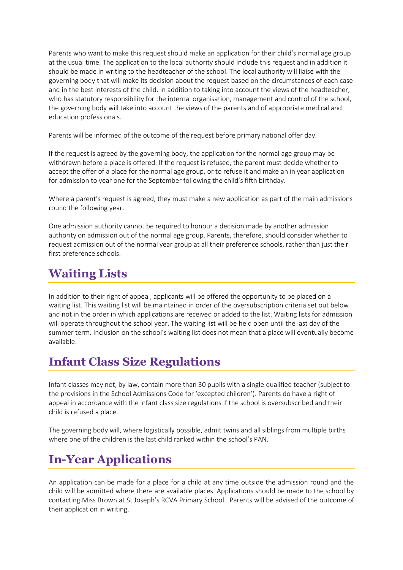Parents who want to make this request should make an application for their child's normal age group at the usual time. The application to the local authority should include this request and in addition it should be made in writing to the headteacher of the school. The local authority will liaise with the governing body that will make its decision about the request based on the circumstances of each case and in the best interests of the child. In addition to taking into account the views of the headteacher, who has statutory responsibility for the internal organisation, management and control of the school, the governing body will take into account the views of the parents and of appropriate medical and education professionals.

Parents will be informed of the outcome of the request before primary national offer day.

If the request is agreed by the governing body, the application for the normal age group may be withdrawn before a place is offered. If the request is refused, the parent must decide whether to accept the offer of a place for the normal age group, or to refuse it and make an in year application for admission to year one for the September following the child's fifth birthday.

Where a parent's request is agreed, they must make a new application as part of the main admissions round the following year.

One admission authority cannot be required to honour a decision made by another admission authority on admission out of the normal age group. Parents, therefore, should consider whether to request admission out of the normal year group at all their preference schools, rather than just their first preference schools.

#### **Waiting Lists**

In addition to their right of appeal, applicants will be offered the opportunity to be placed on a waiting list. This waiting list will be maintained in order of the oversubscription criteria set out below and not in the order in which applications are received or added to the list. Waiting lists for admission will operate throughout the school year. The waiting list will be held open until the last day of the summer term. Inclusion on the school's waiting list does not mean that a place will eventually become available.

#### **Infant Class Size Regulations**

Infant classes may not, by law, contain more than 30 pupils with a single qualified teacher (subject to the provisions in the School Admissions Code for 'excepted children'). Parents do have a right of appeal in accordance with the infant class size regulations if the school is oversubscribed and their child is refused a place.

The governing body will, where logistically possible, admit twins and all siblings from multiple births where one of the children is the last child ranked within the school's PAN.

# **In-Year Applications**

An application can be made for a place for a child at any time outside the admission round and the child will be admitted where there are available places. Applications should be made to the school by contacting Miss Brown at St Joseph's RCVA Primary School. Parents will be advised of the outcome of their application in writing.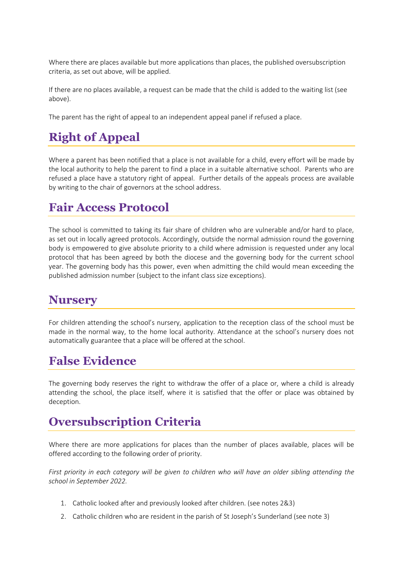Where there are places available but more applications than places, the published oversubscription criteria, as set out above, will be applied.

If there are no places available, a request can be made that the child is added to the waiting list (see above).

The parent has the right of appeal to an independent appeal panel if refused a place.

# **Right of Appeal**

Where a parent has been notified that a place is not available for a child, every effort will be made by the local authority to help the parent to find a place in a suitable alternative school. Parents who are refused a place have a statutory right of appeal. Further details of the appeals process are available by writing to the chair of governors at the school address.

#### **Fair Access Protocol**

The school is committed to taking its fair share of children who are vulnerable and/or hard to place, as set out in locally agreed protocols. Accordingly, outside the normal admission round the governing body is empowered to give absolute priority to a child where admission is requested under any local protocol that has been agreed by both the diocese and the governing body for the current school year. The governing body has this power, even when admitting the child would mean exceeding the published admission number (subject to the infant class size exceptions).

#### **Nursery**

For children attending the school's nursery, application to the reception class of the school must be made in the normal way, to the home local authority. Attendance at the school's nursery does not automatically guarantee that a place will be offered at the school.

#### **False Evidence**

The governing body reserves the right to withdraw the offer of a place or, where a child is already attending the school, the place itself, where it is satisfied that the offer or place was obtained by deception.

## **Oversubscription Criteria**

Where there are more applications for places than the number of places available, places will be offered according to the following order of priority.

*First priority in each category will be given to children who will have an older sibling attending the school in September 2022.*

- 1. Catholic looked after and previously looked after children. (see notes 2&3)
- 2. Catholic children who are resident in the parish of St Joseph's Sunderland (see note 3)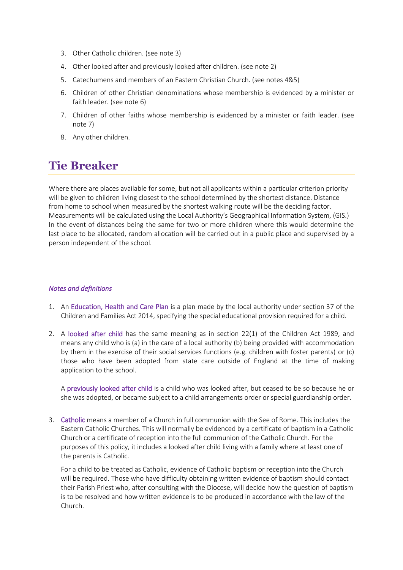- 3. Other Catholic children. (see note 3)
- 4. Other looked after and previously looked after children. (see note 2)
- 5. Catechumens and members of an Eastern Christian Church. (see notes 4&5)
- 6. Children of other Christian denominations whose membership is evidenced by a minister or faith leader. (see note 6)
- 7. Children of other faiths whose membership is evidenced by a minister or faith leader. (see note 7)
- 8. Any other children.

#### **Tie Breaker**

Where there are places available for some, but not all applicants within a particular criterion priority will be given to children living closest to the school determined by the shortest distance. Distance from home to school when measured by the shortest walking route will be the deciding factor. Measurements will be calculated using the Local Authority's Geographical Information System, (GIS.) In the event of distances being the same for two or more children where this would determine the last place to be allocated, random allocation will be carried out in a public place and supervised by a person independent of the school.

#### *Notes and definitions*

- 1. An Education, Health and Care Plan is a plan made by the local authority under section 37 of the Children and Families Act 2014, specifying the special educational provision required for a child.
- 2. A looked after child has the same meaning as in section 22(1) of the Children Act 1989, and means any child who is (a) in the care of a local authority (b) being provided with accommodation by them in the exercise of their social services functions (e.g. children with foster parents) or (c) those who have been adopted from state care outside of England at the time of making application to the school.

A previously looked after child is a child who was looked after, but ceased to be so because he or she was adopted, or became subject to a child arrangements order or special guardianship order.

3. Catholic means a member of a Church in full communion with the See of Rome. This includes the Eastern Catholic Churches. This will normally be evidenced by a certificate of baptism in a Catholic Church or a certificate of reception into the full communion of the Catholic Church. For the purposes of this policy, it includes a looked after child living with a family where at least one of the parents is Catholic.

For a child to be treated as Catholic, evidence of Catholic baptism or reception into the Church will be required. Those who have difficulty obtaining written evidence of baptism should contact their Parish Priest who, after consulting with the Diocese, will decide how the question of baptism is to be resolved and how written evidence is to be produced in accordance with the law of the Church.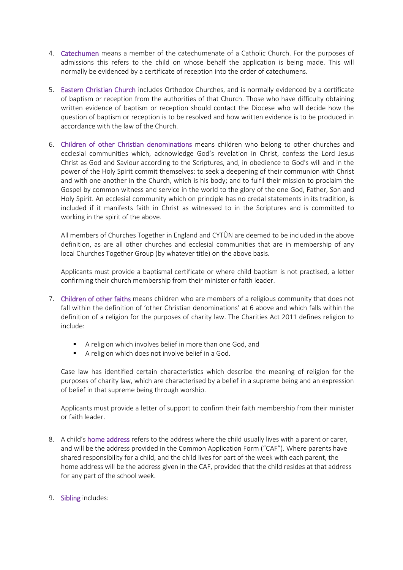- 4. Catechumen means a member of the catechumenate of a Catholic Church. For the purposes of admissions this refers to the child on whose behalf the application is being made. This will normally be evidenced by a certificate of reception into the order of catechumens.
- 5. Eastern Christian Church includes Orthodox Churches, and is normally evidenced by a certificate of baptism or reception from the authorities of that Church. Those who have difficulty obtaining written evidence of baptism or reception should contact the Diocese who will decide how the question of baptism or reception is to be resolved and how written evidence is to be produced in accordance with the law of the Church.
- 6. Children of other Christian denominations means children who belong to other churches and ecclesial communities which, acknowledge God's revelation in Christ, confess the Lord Jesus Christ as God and Saviour according to the Scriptures, and, in obedience to God's will and in the power of the Holy Spirit commit themselves: to seek a deepening of their communion with Christ and with one another in the Church, which is his body; and to fulfil their mission to proclaim the Gospel by common witness and service in the world to the glory of the one God, Father, Son and Holy Spirit. An ecclesial community which on principle has no credal statements in its tradition, is included if it manifests faith in Christ as witnessed to in the Scriptures and is committed to working in the spirit of the above.

All members of Churches Together in England and CYTÛN are deemed to be included in the above definition, as are all other churches and ecclesial communities that are in membership of any local Churches Together Group (by whatever title) on the above basis.

Applicants must provide a baptismal certificate or where child baptism is not practised, a letter confirming their church membership from their minister or faith leader.

- 7. Children of other faiths means children who are members of a religious community that does not fall within the definition of 'other Christian denominations' at 6 above and which falls within the definition of a religion for the purposes of charity law. The Charities Act 2011 defines religion to include:
	- A religion which involves belief in more than one God, and
	- A religion which does not involve belief in a God.

Case law has identified certain characteristics which describe the meaning of religion for the purposes of charity law, which are characterised by a belief in a supreme being and an expression of belief in that supreme being through worship.

Applicants must provide a letter of support to confirm their faith membership from their minister or faith leader.

- 8. A child's home address refers to the address where the child usually lives with a parent or carer, and will be the address provided in the Common Application Form ("CAF"). Where parents have shared responsibility for a child, and the child lives for part of the week with each parent, the home address will be the address given in the CAF, provided that the child resides at that address for any part of the school week.
- 9. Sibling includes: